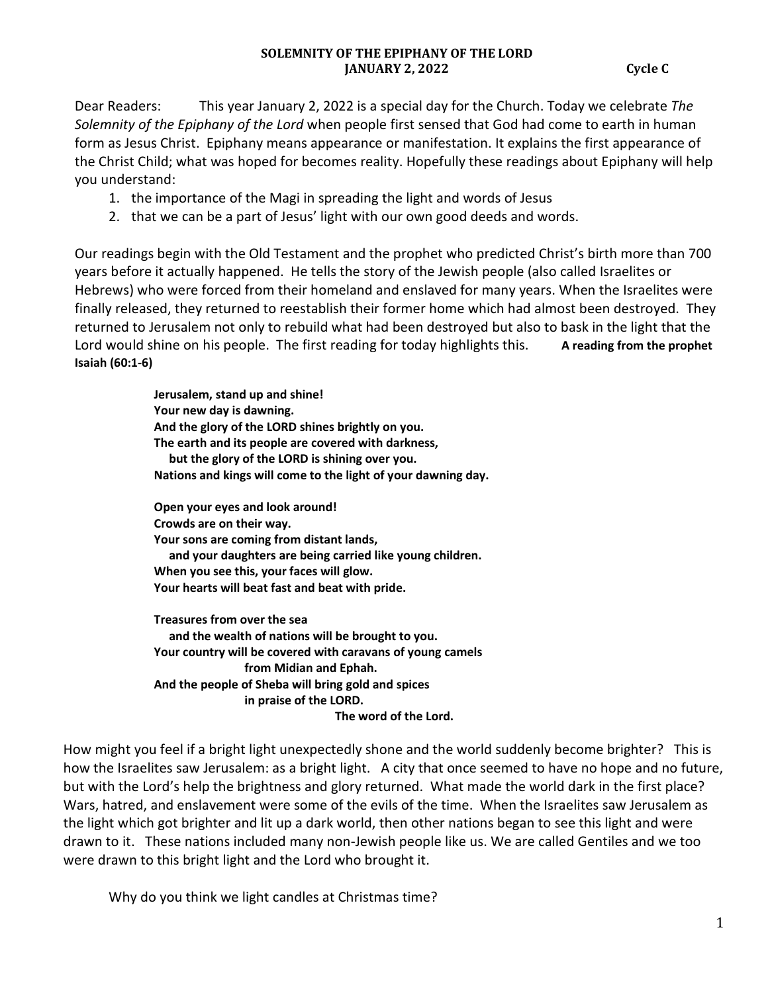Dear Readers: This year January 2, 2022 is a special day for the Church. Today we celebrate *The Solemnity of the Epiphany of the Lord* when people first sensed that God had come to earth in human form as Jesus Christ. Epiphany means appearance or manifestation. It explains the first appearance of the Christ Child; what was hoped for becomes reality. Hopefully these readings about Epiphany will help you understand:

- 1. the importance of the Magi in spreading the light and words of Jesus
- 2. that we can be a part of Jesus' light with our own good deeds and words.

Our readings begin with the Old Testament and the prophet who predicted Christ's birth more than 700 years before it actually happened. He tells the story of the Jewish people (also called Israelites or Hebrews) who were forced from their homeland and enslaved for many years. When the Israelites were finally released, they returned to reestablish their former home which had almost been destroyed. They returned to Jerusalem not only to rebuild what had been destroyed but also to bask in the light that the Lord would shine on his people. The first reading for today highlights this. A reading from the prophet **Isaiah (60:1-6)** 

> **Jerusalem, stand up and shine! Your new day is dawning. And the glory of the LORD shines brightly on you. The earth and its people are covered with darkness, but the glory of the LORD is shining over you. Nations and kings will come to the light of your dawning day.**

**Open your eyes and look around! Crowds are on their way. Your sons are coming from distant lands, and your daughters are being carried like young children. When you see this, your faces will glow. Your hearts will beat fast and beat with pride.** 

**Treasures from over the sea and the wealth of nations will be brought to you. Your country will be covered with caravans of young camels from Midian and Ephah. And the people of Sheba will bring gold and spices in praise of the LORD. The word of the Lord.** 

How might you feel if a bright light unexpectedly shone and the world suddenly become brighter? This is how the Israelites saw Jerusalem: as a bright light. A city that once seemed to have no hope and no future, but with the Lord's help the brightness and glory returned. What made the world dark in the first place? Wars, hatred, and enslavement were some of the evils of the time. When the Israelites saw Jerusalem as the light which got brighter and lit up a dark world, then other nations began to see this light and were drawn to it. These nations included many non-Jewish people like us. We are called Gentiles and we too were drawn to this bright light and the Lord who brought it.

Why do you think we light candles at Christmas time?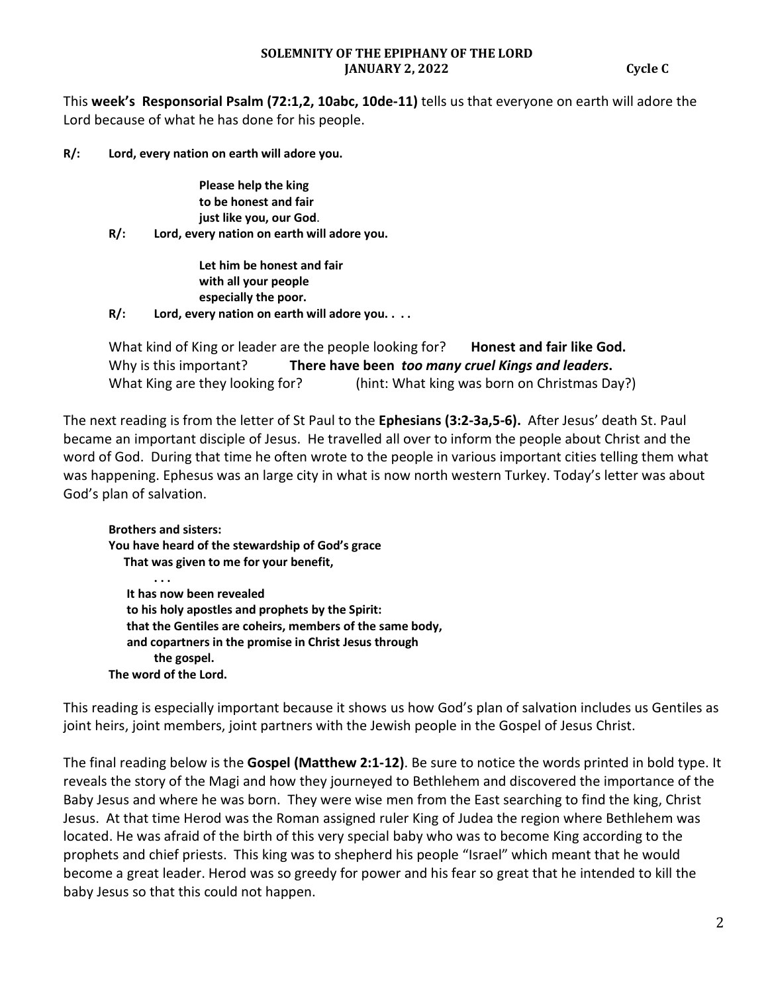This **week's Responsorial Psalm (72:1,2, 10abc, 10de-11)** tells us that everyone on earth will adore the Lord because of what he has done for his people.

**R/: Lord, every nation on earth will adore you.** 

**Please help the king to be honest and fair just like you, our God**.

**R/: Lord, every nation on earth will adore you.** 

**Let him be honest and fair with all your people especially the poor.** 

**R/: Lord, every nation on earth will adore you. . . .** 

What kind of King or leader are the people looking for? **Honest and fair like God.** Why is this important? **There have been** *too many cruel Kings and leaders***.** What King are they looking for? (hint: What king was born on Christmas Day?)

The next reading is from the letter of St Paul to the **Ephesians (3:2-3a,5-6).** After Jesus' death St. Paul became an important disciple of Jesus. He travelled all over to inform the people about Christ and the word of God. During that time he often wrote to the people in various important cities telling them what was happening. Ephesus was an large city in what is now north western Turkey. Today's letter was about God's plan of salvation.

**Brothers and sisters: You have heard of the stewardship of God's grace That was given to me for your benefit, . . . It has now been revealed to his holy apostles and prophets by the Spirit: that the Gentiles are coheirs, members of the same body, and copartners in the promise in Christ Jesus through the gospel. The word of the Lord.** 

This reading is especially important because it shows us how God's plan of salvation includes us Gentiles as joint heirs, joint members, joint partners with the Jewish people in the Gospel of Jesus Christ.

The final reading below is the **Gospel (Matthew 2:1-12)**. Be sure to notice the words printed in bold type. It reveals the story of the Magi and how they journeyed to Bethlehem and discovered the importance of the Baby Jesus and where he was born. They were wise men from the East searching to find the king, Christ Jesus. At that time Herod was the Roman assigned ruler King of Judea the region where Bethlehem was located. He was afraid of the birth of this very special baby who was to become King according to the prophets and chief priests. This king was to shepherd his people "Israel" which meant that he would become a great leader. Herod was so greedy for power and his fear so great that he intended to kill the baby Jesus so that this could not happen.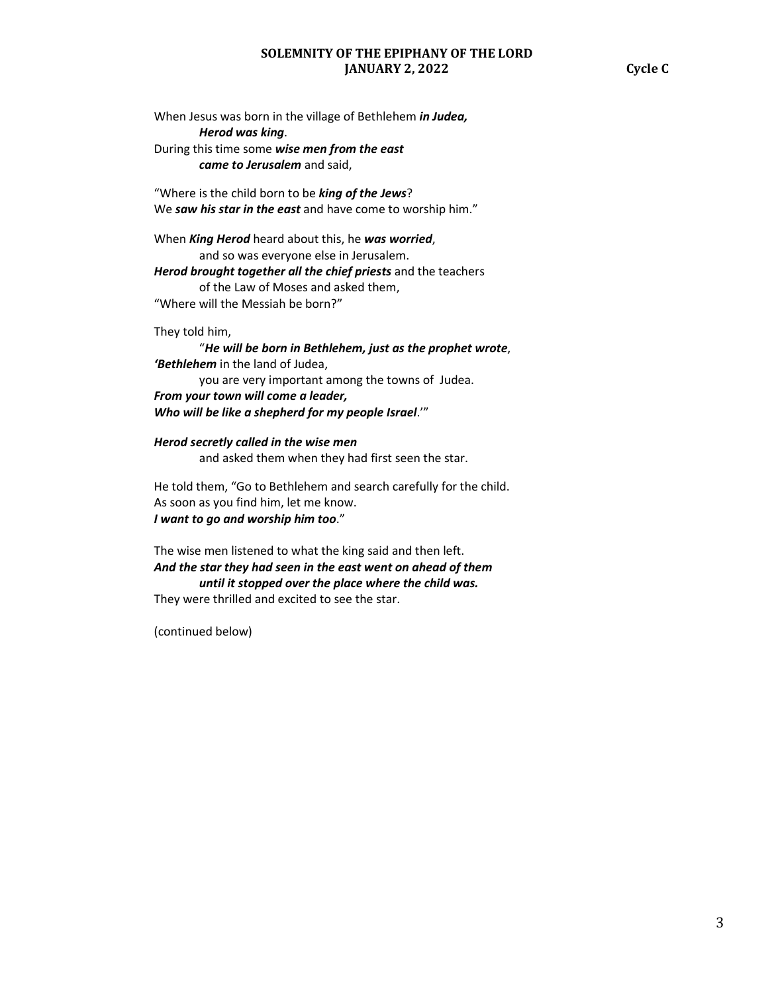When Jesus was born in the village of Bethlehem *in Judea, Herod was king*. During this time some *wise men from the east came to Jerusalem* and said,

"Where is the child born to be *king of the Jews*? We *saw his star in the east* and have come to worship him."

When *King Herod* heard about this, he *was worried*, and so was everyone else in Jerusalem. *Herod brought together all the chief priests* and the teachers of the Law of Moses and asked them, "Where will the Messiah be born?"

They told him,

 "*He will be born in Bethlehem, just as the prophet wrote*, *'Bethlehem* in the land of Judea, you are very important among the towns of Judea. *From your town will come a leader, Who will be like a shepherd for my people Israel*.'"

*Herod secretly called in the wise men* 

and asked them when they had first seen the star.

He told them, "Go to Bethlehem and search carefully for the child. As soon as you find him, let me know. *I want to go and worship him too*."

The wise men listened to what the king said and then left. *And the star they had seen in the east went on ahead of them until it stopped over the place where the child was.*  They were thrilled and excited to see the star.

(continued below)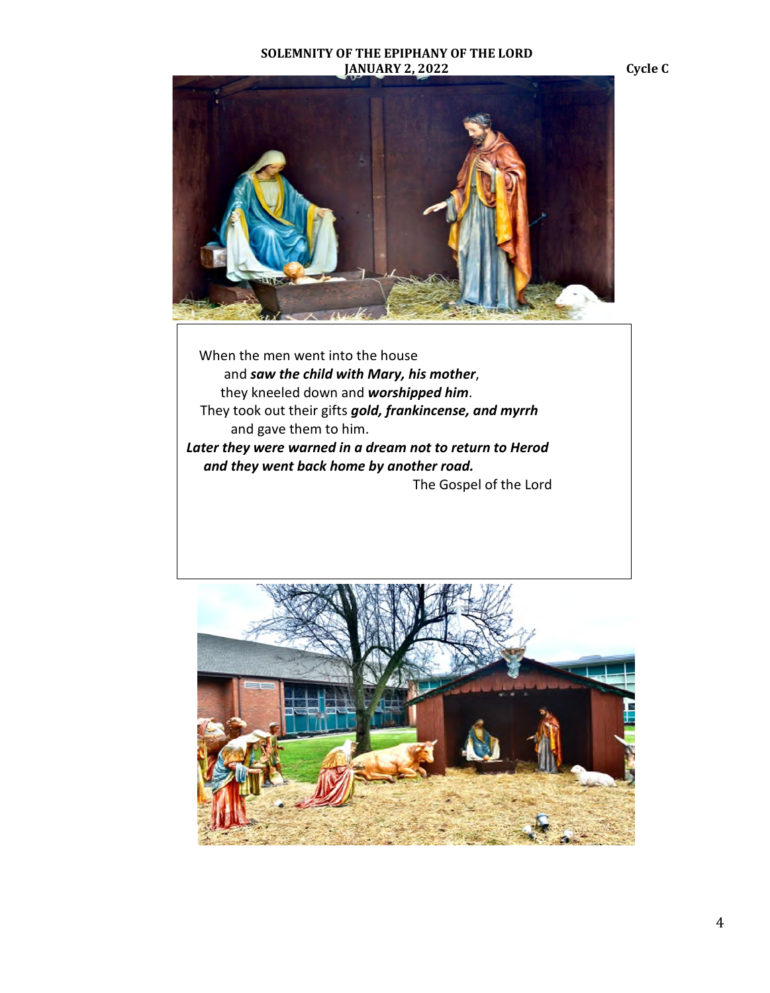

 When the men went into the house and *saw the child with Mary, his mother*, they kneeled down and *worshipped him*. They took out their gifts *gold, frankincense, and myrrh* and gave them to him. *Later they were warned in a dream not to return to Herod and they went back home by another road.*  The Gospel of the Lord

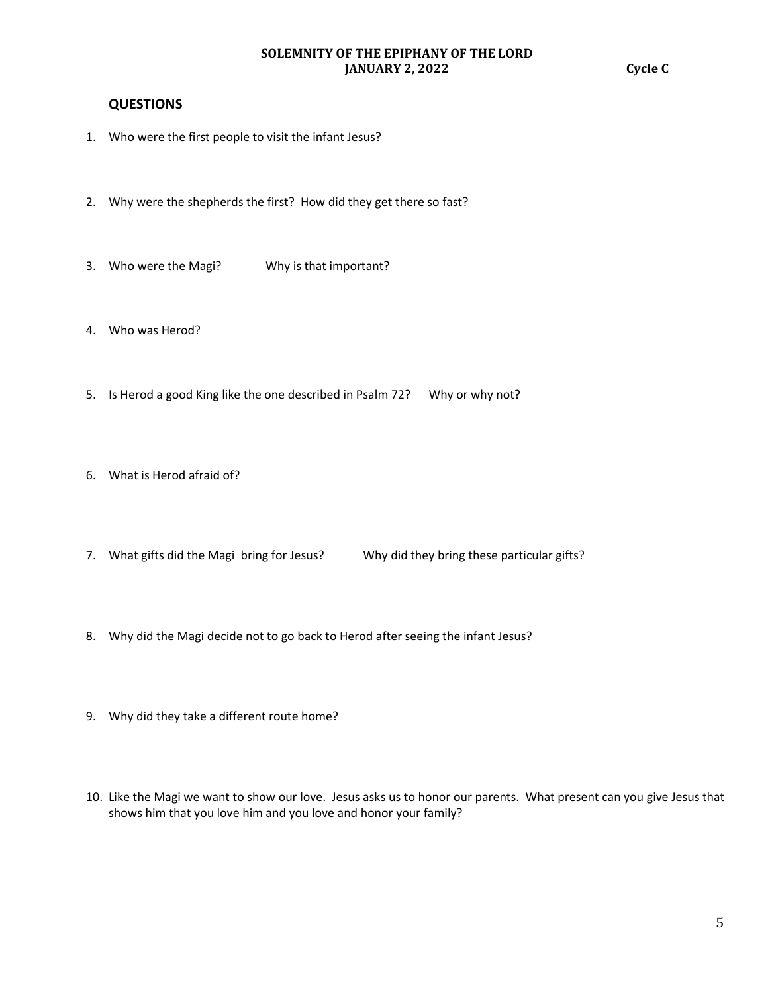# **QUESTIONS**

- 1. Who were the first people to visit the infant Jesus?
- 2. Why were the shepherds the first? How did they get there so fast?
- 3. Who were the Magi? Why is that important?
- 4. Who was Herod?
- 5. Is Herod a good King like the one described in Psalm 72? Why or why not?
- 6. What is Herod afraid of?
- 7. What gifts did the Magi bring for Jesus? Why did they bring these particular gifts?
- 8. Why did the Magi decide not to go back to Herod after seeing the infant Jesus?
- 9. Why did they take a different route home?
- 10. Like the Magi we want to show our love. Jesus asks us to honor our parents. What present can you give Jesus that shows him that you love him and you love and honor your family?